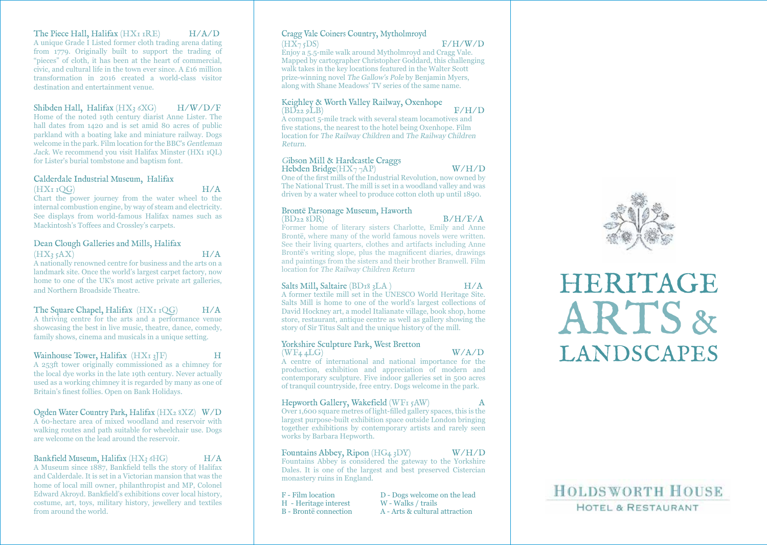### The Piece Hall, Halifax  $(HX_I IRE)$   $H/A/D$

A unique Grade I Listed former cloth trading arena dating from 1779. Originally built to support the trading of "pieces" of cloth, it has been at the heart of commercial, civic, and cultural life in the town ever since. A £16 million transformation in 2016 created a world-class visitor destination and entertainment venue.

Shibden Hall, Halifax (HX3 6XG) H/W/D/F Home of the noted 19th century diarist Anne Lister. The hall dates from 1420 and is set amid 80 acres of public parkland with a boating lake and miniature railway. Dogs

welcome in the park. Film location for the BBC's Gentleman Jack. We recommend you visit Halifax Minster (HX1 1QL) for Lister's burial tombstone and baptism font.

#### Calderdale Industrial Museum, Halifax  $(HX<sub>I</sub> <sub>I</sub>O<sub>G</sub>)$   $H/A$

Chart the power journey from the water wheel to the internal combustion engine, by way of steam and electricity. See displays from world-famous Halifax names such as Mackintosh's Toffees and Crossley's carpets.

#### Dean Clough Galleries and Mills, Halifax  $(HX_3 SAX)$   $H/A$

A nationally renowned centre for business and the arts on a landmark site. Once the world's largest carpet factory, now home to one of the UK's most active private art galleries, and Northern Broadside Theatre.

The Square Chapel, Halifax  $(HX<sub>I</sub> <sub>I</sub> <sub>O</sub>C)$   $H/A$ A thriving centre for the arts and a performance venue

showcasing the best in live music, theatre, dance, comedy, family shows, cinema and musicals in a unique setting.

#### Wainhouse Tower, Halifax  $(HX_1 \, 3F)$  H

A 253ft tower originally commissioned as a chimney for the local dye works in the late 19th century. Never actually used as a working chimney it is regarded by many as one of Britain's finest follies. Open on Bank Holidays.

#### Ogden Water Country Park, Halifax (HX2 8XZ) W/D

A 60-hectare area of mixed woodland and reservoir with walking routes and path suitable for wheelchair use. Dogs are welcome on the lead around the reservoir.

#### Bankfield Museum, Halifax (HX<sub>3</sub> 6HG) H/A

A Museum since 1887, Bankfield tells the story of Halifax and Calderdale. It is set in a Victorian mansion that was the home of local mill owner, philanthropist and MP, Colonel Edward Akroyd. Bankfield's exhibitions cover local history, costume, art, toys, military history, jewellery and textiles from around the world.

### Cragg Vale Coiners Country, Mytholmroyd

 $(HX_75DS)$  F/H/W/D Enjoy a 5.5-mile walk around Mytholmroyd and Cragg Vale. Mapped by cartographer Christopher Goddard, this challenging walk takes in the key locations featured in the Walter Scott prize-winning novel The Gallow's Pole by Benjamin Myers, along with Shane Meadows' TV series of the same name.

# Keighley & Worth Valley Railway, Oxenhope<br>(BD22.9LB)

 $(BD_{22} \rho LB)$  F/H/D A compact 5-mile track with several steam locamotives and five stations, the nearest to the hotel being Oxenhope. Film location for The Railway Children and The Railway Children Return.

#### Gibson Mill & Hardcastle Craggs

Hebden Bridge(HX<sub>7</sub>  $\gamma$ AP) W/H/D One of the first mills of the Industrial Revolution, now owned by The National Trust. The mill is set in a woodland valley and was driven by a water wheel to produce cotton cloth up until 1890.

#### Brontë Parsonage Museum, Haworth

 $(BD_{22}$  8DR) B/H/F/A Former home of literary sisters Charlotte, Emily and Anne Brontë, where many of the world famous novels were written. See their living quarters, clothes and artifacts including Anne Brontë's writing slope, plus the magnificent diaries, drawings and paintings from the sisters and their brother Branwell. Film location for The Railway Children Return

#### Salts Mill, Saltaire (BD<sub>18</sub> 3LA) H/A

A former textile mill set in the UNESCO World Heritage Site. Salts Mill is home to one of the world's largest collections of David Hockney art, a model Italianate village, book shop, home store, restaurant, antique centre as well as gallery showing the story of Sir Titus Salt and the unique history of the mill.

#### Yorkshire Sculpture Park, West Bretton  $(WF<sub>4</sub> \triangle ALG)$   $(W/A/D)$

A centre of international and national importance for the production, exhibition and appreciation of modern and contemporary sculpture. Five indoor galleries set in 500 acres of tranquil countryside, free entry. Dogs welcome in the park.

#### Hepworth Gallery, Wakefield (WF1 5AW)

Over 1,600 square metres of light-filled gallery spaces, this is the largest purpose-built exhibition space outside London bringing together exhibitions by contemporary artists and rarely seen works by Barbara Hepworth.

## Fountains Abbey, Ripon (HG4 3DY) W/H/D Fountains Abbey is considered the gateway to the Yorkshire

Dales. It is one of the largest and best preserved Cistercian monastery ruins in England.

H - Heritage interest

 $F -$  Film location  $D -$  Dogs welcome on the lead  $H -$  Heritage interest  $W -$  Walks / trails B - Brontë connection A - Arts & cultural attraction



# ARTS & LANDSCAPES HERITAGE

# **HOLDSWORTH HOUSE HOTEL & RESTAURANT**